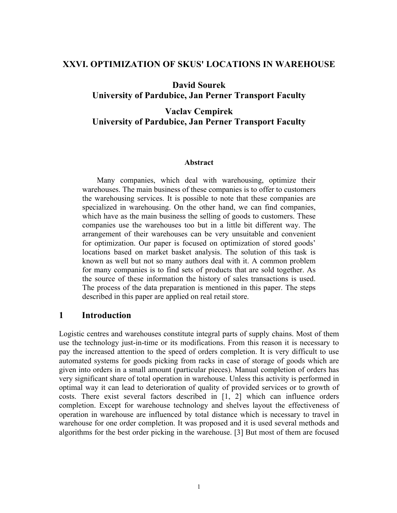### **XXVI. OPTIMIZATION OF SKUS' LOCATIONS IN WAREHOUSE**

**David Sourek University of Pardubice, Jan Perner Transport Faculty**

**Vaclav Cempirek University of Pardubice, Jan Perner Transport Faculty**

#### **Abstract**

Many companies, which deal with warehousing, optimize their warehouses. The main business of these companies is to offer to customers the warehousing services. It is possible to note that these companies are specialized in warehousing. On the other hand, we can find companies, which have as the main business the selling of goods to customers. These companies use the warehouses too but in a little bit different way. The arrangement of their warehouses can be very unsuitable and convenient for optimization. Our paper is focused on optimization of stored goods' locations based on market basket analysis. The solution of this task is known as well but not so many authors deal with it. A common problem for many companies is to find sets of products that are sold together. As the source of these information the history of sales transactions is used. The process of the data preparation is mentioned in this paper. The steps described in this paper are applied on real retail store.

### **1 Introduction**

Logistic centres and warehouses constitute integral parts of supply chains. Most of them use the technology just-in-time or its modifications. From this reason it is necessary to pay the increased attention to the speed of orders completion. It is very difficult to use automated systems for goods picking from racks in case of storage of goods which are given into orders in a small amount (particular pieces). Manual completion of orders has very significant share of total operation in warehouse. Unless this activity is performed in optimal way it can lead to deterioration of quality of provided services or to growth of costs. There exist several factors described in [1, 2] which can influence orders completion. Except for warehouse technology and shelves layout the effectiveness of operation in warehouse are influenced by total distance which is necessary to travel in warehouse for one order completion. It was proposed and it is used several methods and algorithms for the best order picking in the warehouse. [3] But most of them are focused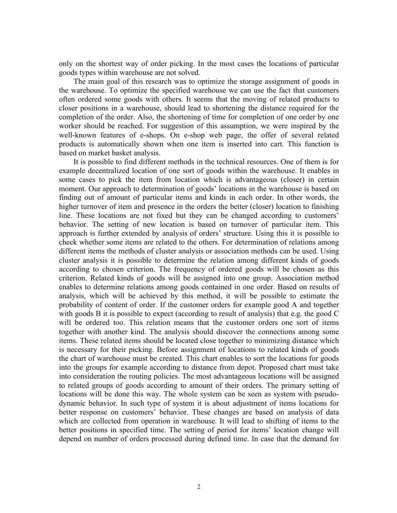only on the shortest way of order picking. In the most cases the locations of particular goods types within warehouse are not solved.

The main goal of this research was to optimize the storage assignment of goods in the warehouse. To optimize the specified warehouse we can use the fact that customers often ordered some goods with others. It seems that the moving of related products to closer positions in a warehouse, should lead to shortening the distance required for the completion of the order. Also, the shortening of time for completion of one order by one worker should be reached. For suggestion of this assumption, we were inspired by the well-known features of e-shops. On e-shop web page, the offer of several related products is automatically shown when one item is inserted into cart. This function is based on market basket analysis.

It is possible to find different methods in the technical resources. One of them is for example decentralized location of one sort of goods within the warehouse. It enables in some cases to pick the item from location which is advantageous (closer) in certain moment. Our approach to determination of goods' locations in the warehouse is based on finding out of amount of particular items and kinds in each order. In other words, the higher turnover of item and presence in the orders the better (closer) location to finishing line. These locations are not fixed but they can be changed according to customers' behavior. The setting of new location is based on turnover of particular item. This approach is further extended by analysis of orders' structure. Using this it is possible to check whether some items are related to the others. For determination of relations among different items the methods of cluster analysis or association methods can be used. Using cluster analysis it is possible to determine the relation among different kinds of goods according to chosen criterion. The frequency of ordered goods will be chosen as this criterion. Related kinds of goods will be assigned into one group. Association method enables to determine relations among goods contained in one order. Based on results of analysis, which will be achieved by this method, it will be possible to estimate the probability of content of order. If the customer orders for example good A and together with goods B it is possible to expect (according to result of analysis) that e.g. the good C will be ordered too. This relation means that the customer orders one sort of items together with another kind. The analysis should discover the connections among some items. These related items should be located close together to minimizing distance which is necessary for their picking. Before assignment of locations to related kinds of goods the chart of warehouse must be created. This chart enables to sort the locations for goods into the groups for example according to distance from depot. Proposed chart must take into consideration the routing policies. The most advantageous locations will be assigned to related groups of goods according to amount of their orders. The primary setting of locations will be done this way. The whole system can be seen as system with pseudodynamic behavior. In such type of system it is about adjustment of items locations for better response on customers' behavior. These changes are based on analysis of data which are collected from operation in warehouse. It will lead to shifting of items to the better positions in specified time. The setting of period for items' location change will depend on number of orders processed during defined time. In case that the demand for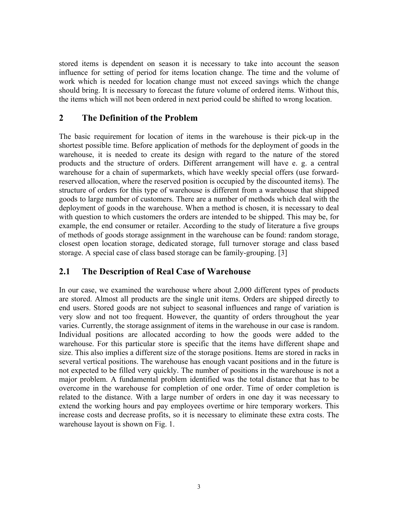stored items is dependent on season it is necessary to take into account the season influence for setting of period for items location change. The time and the volume of work which is needed for location change must not exceed savings which the change should bring. It is necessary to forecast the future volume of ordered items. Without this, the items which will not been ordered in next period could be shifted to wrong location.

## **2 The Definition of the Problem**

The basic requirement for location of items in the warehouse is their pick-up in the shortest possible time. Before application of methods for the deployment of goods in the warehouse, it is needed to create its design with regard to the nature of the stored products and the structure of orders. Different arrangement will have e. g. a central warehouse for a chain of supermarkets, which have weekly special offers (use forwardreserved allocation, where the reserved position is occupied by the discounted items). The structure of orders for this type of warehouse is different from a warehouse that shipped goods to large number of customers. There are a number of methods which deal with the deployment of goods in the warehouse. When a method is chosen, it is necessary to deal with question to which customers the orders are intended to be shipped. This may be, for example, the end consumer or retailer. According to the study of literature a five groups of methods of goods storage assignment in the warehouse can be found: random storage, closest open location storage, dedicated storage, full turnover storage and class based storage. A special case of class based storage can be family-grouping. [3]

# **2.1 The Description of Real Case of Warehouse**

In our case, we examined the warehouse where about 2,000 different types of products are stored. Almost all products are the single unit items. Orders are shipped directly to end users. Stored goods are not subject to seasonal influences and range of variation is very slow and not too frequent. However, the quantity of orders throughout the year varies. Currently, the storage assignment of items in the warehouse in our case is random. Individual positions are allocated according to how the goods were added to the warehouse. For this particular store is specific that the items have different shape and size. This also implies a different size of the storage positions. Items are stored in racks in several vertical positions. The warehouse has enough vacant positions and in the future is not expected to be filled very quickly. The number of positions in the warehouse is not a major problem. A fundamental problem identified was the total distance that has to be overcome in the warehouse for completion of one order. Time of order completion is related to the distance. With a large number of orders in one day it was necessary to extend the working hours and pay employees overtime or hire temporary workers. This increase costs and decrease profits, so it is necessary to eliminate these extra costs. The warehouse layout is shown on Fig. 1.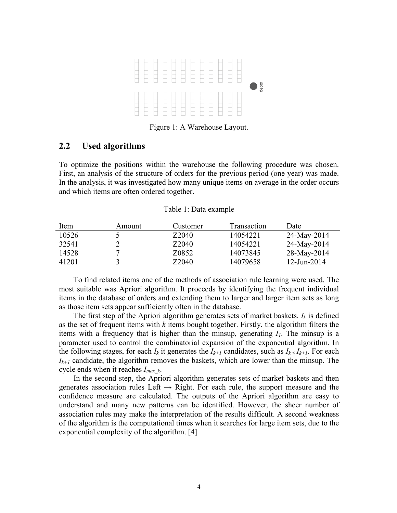

### Figure 1: A Warehouse Layout.

### **2.2 Used algorithms**

To optimize the positions within the warehouse the following procedure was chosen. First, an analysis of the structure of orders for the previous period (one year) was made. In the analysis, it was investigated how many unique items on average in the order occurs and which items are often ordered together.

|  | Table 1: Data example |  |
|--|-----------------------|--|
|  |                       |  |

| Item  | Amount | Customer           | Transaction | Date           |
|-------|--------|--------------------|-------------|----------------|
| 10526 | ╮      | Z2040              | 14054221    | 24-May-2014    |
| 32541 |        | Z2040              | 14054221    | 24-May-2014    |
| 14528 |        | Z0852              | 14073845    | 28-May-2014    |
| 41201 |        | Z <sub>2</sub> 040 | 14079658    | $12$ -Jun-2014 |

To find related items one of the methods of association rule learning were used. The most suitable was Apriori algorithm. It proceeds by identifying the frequent individual items in the database of orders and extending them to larger and larger item sets as long as those item sets appear sufficiently often in the database.

The first step of the Apriori algorithm generates sets of market baskets.  $I_k$  is defined as the set of frequent items with *k* items bought together. Firstly, the algorithm filters the items with a frequency that is higher than the minsup, generating *I1*. The minsup is a parameter used to control the combinatorial expansion of the exponential algorithm. In the following stages, for each  $I_k$  it generates the  $I_{k+1}$  candidates, such as  $I_k \leq I_{k+1}$ . For each  $I_{k+1}$  candidate, the algorithm removes the baskets, which are lower than the minsup. The cycle ends when it reaches *Imax\_k*.

In the second step, the Apriori algorithm generates sets of market baskets and then generates association rules Left  $\rightarrow$  Right. For each rule, the support measure and the confidence measure are calculated. The outputs of the Apriori algorithm are easy to understand and many new patterns can be identified. However, the sheer number of association rules may make the interpretation of the results difficult. A second weakness of the algorithm is the computational times when it searches for large item sets, due to the exponential complexity of the algorithm. [4]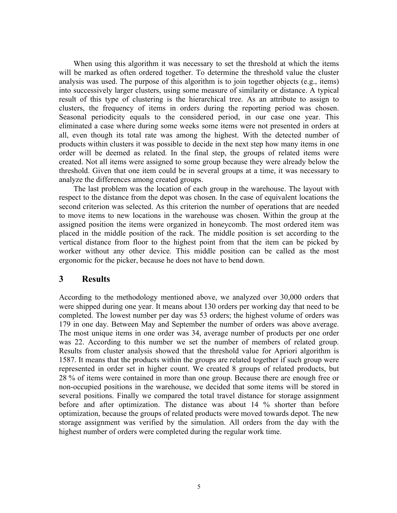When using this algorithm it was necessary to set the threshold at which the items will be marked as often ordered together. To determine the threshold value the cluster analysis was used. The purpose of this algorithm is to join together objects (e.g., items) into successively larger clusters, using some measure of similarity or distance. A typical result of this type of clustering is the hierarchical tree. As an attribute to assign to clusters, the frequency of items in orders during the reporting period was chosen. Seasonal periodicity equals to the considered period, in our case one year. This eliminated a case where during some weeks some items were not presented in orders at all, even though its total rate was among the highest. With the detected number of products within clusters it was possible to decide in the next step how many items in one order will be deemed as related. In the final step, the groups of related items were created. Not all items were assigned to some group because they were already below the threshold. Given that one item could be in several groups at a time, it was necessary to analyze the differences among created groups.

The last problem was the location of each group in the warehouse. The layout with respect to the distance from the depot was chosen. In the case of equivalent locations the second criterion was selected. As this criterion the number of operations that are needed to move items to new locations in the warehouse was chosen. Within the group at the assigned position the items were organized in honeycomb. The most ordered item was placed in the middle position of the rack. The middle position is set according to the vertical distance from floor to the highest point from that the item can be picked by worker without any other device. This middle position can be called as the most ergonomic for the picker, because he does not have to bend down.

## **3 Results**

According to the methodology mentioned above, we analyzed over 30,000 orders that were shipped during one year. It means about 130 orders per working day that need to be completed. The lowest number per day was 53 orders; the highest volume of orders was 179 in one day. Between May and September the number of orders was above average. The most unique items in one order was 34, average number of products per one order was 22. According to this number we set the number of members of related group. Results from cluster analysis showed that the threshold value for Apriori algorithm is 1587. It means that the products within the groups are related together if such group were represented in order set in higher count. We created 8 groups of related products, but 28 % of items were contained in more than one group. Because there are enough free or non-occupied positions in the warehouse, we decided that some items will be stored in several positions. Finally we compared the total travel distance for storage assignment before and after optimization. The distance was about 14 % shorter than before optimization, because the groups of related products were moved towards depot. The new storage assignment was verified by the simulation. All orders from the day with the highest number of orders were completed during the regular work time.